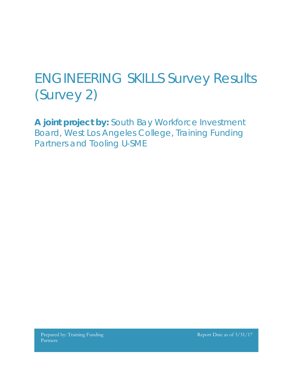## ENGINEERING SKILLS Survey Results (Survey 2)

**A joint project by:** South Bay Workforce Investment Board, West Los Angeles College, Training Funding Partners and Tooling U-SME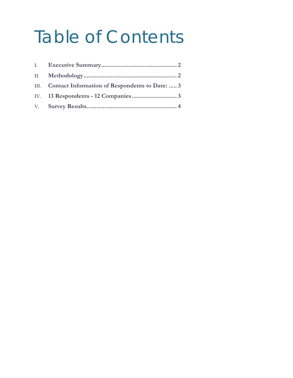# Table of Contents

| III. Contact Information of Respondents to Date:  3 |  |
|-----------------------------------------------------|--|
|                                                     |  |
|                                                     |  |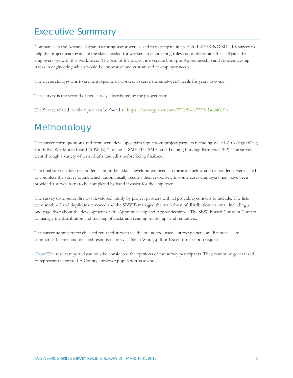## <span id="page-2-0"></span>Executive Summary

Companies in the Advanced Manufacturing sector were asked to participate in an ENGINEERING SKILLS survey to help the project team evaluate the skills needed for workers in engineering roles and to determine the skill gaps that employers see with this workforce. The goal of the project is to create both pre-Apprenticeship and Apprenticeship tracks in engineering which would be innovative and customized to employer needs.

The overarching goal is to create a pipeline of workers to serve the employers' needs for years to come.

This survey is the second of two surveys distributed by the project team.

The Survey related to this report can be found at:<https://surveyplanet.com/578cf941a7539ada6d466f1a>

### <span id="page-2-1"></span>Methodology

The survey form questions and form were developed with input from project partners including West LA College (West), South Bay Workforce Board (SBWIB), Tooling U-SME (TU-SME) and Training Funding Partners (TFP). The survey went through a variety of tests, drafts and edits before being finalized.

The final survey asked respondents about their skills development needs in the areas below and respondents were asked to complete the survey online which automatically records their responses. In some cases employers may have been provided a survey form to be completed by hand if easier for the employer.

The survey distribution list was developed jointly by project partners with all providing contacts to include. The lists were scrubbed and duplicates removed and the SBWIB managed the main form of distribution via email including a one-page flyer about the development of Pre-Apprenticeship and Apprenticeships. The SBWIB used Constant Contact to manage the distribution and tracking of clicks and sending follow-ups and reminders.

The survey administrator checked returned surveys via the online tool used – surveyplanet.com. Responses are summarized herein and detailed responses are available in Word, .pdf or Excel format upon request.

Note: The results reported can only be considered the opinions of the survey participants. They cannot be generalized to represent the entire LA County employer population as a whole.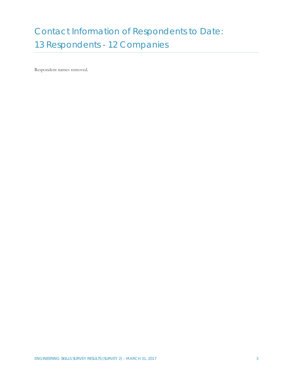## <span id="page-3-1"></span><span id="page-3-0"></span>Contact Information of Respondents to Date: 13 Respondents - 12 Companies

Respondent names removed.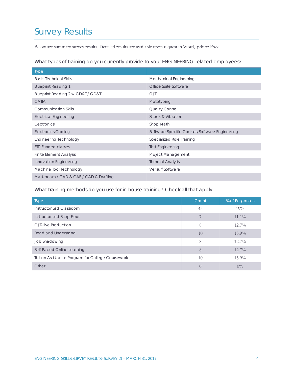## <span id="page-4-0"></span>Survey Results

Below are summary survey results. Detailed results are available upon request in Word, .pdf or Excel.

What types of training do you currently provide to your ENGINEERING-related employees?

| Type                                   |                                                |
|----------------------------------------|------------------------------------------------|
| <b>Basic Technical Skills</b>          | Mechanical Engineering                         |
| <b>Blueprint Reading 1</b>             | Office Suite Software                          |
| Blueprint Reading 2 w GD&T / GD&T      | <b>OJT</b>                                     |
| CATIA                                  | Prototyping                                    |
| <b>Communication Skills</b>            | Quality Control                                |
| <b>Electrical Engineering</b>          | Shock & Vibration                              |
| Electronics                            | Shop Math                                      |
| <b>Electronics Cooling</b>             | Software Specific Courses/Software Engineering |
| <b>Engineering Technology</b>          | Specialized Role Training                      |
| <b>ETP Funded classes</b>              | <b>Test Engineering</b>                        |
| <b>Finite Element Analysis</b>         | Project Management                             |
| Innovation Engineering                 | <b>Thermal Analysis</b>                        |
| Machine Tool Technology                | Verisurf Software                              |
| Mastercam / CAD & CAE / CAD & Drafting |                                                |

What training methods do you use for in-house training? Check all that apply.

| <b>Type</b>                                       | Count | % of Responses |
|---------------------------------------------------|-------|----------------|
| Instructor Led Classroom                          | 45    | 19%            |
| Instructor Led Shop Floor                         |       | $11.1\%$       |
| O.JT-Live Production                              | 8     | $12.7\%$       |
| Read and Understand                               | 10    | $15.9\%$       |
| Job Shadowing                                     | 8     | $12.7\%$       |
| Self Paced Online Learning                        | 8     | $12.7\%$       |
| Tuition Assistance Program for College Coursework | 10    | $15.9\%$       |
| Other                                             |       | $0\%$          |
|                                                   |       |                |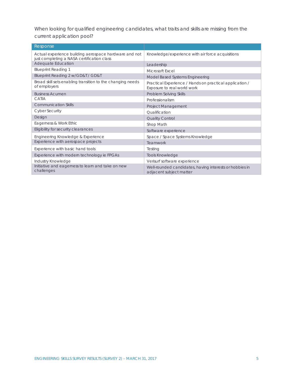When looking for qualified engineering candidates, what traits and skills are missing from the current application pool?

| Response                                                                                            |                                                                                        |
|-----------------------------------------------------------------------------------------------------|----------------------------------------------------------------------------------------|
| Actual experience building aerospace hardware and not<br>just completing a NASA certification class | Knowledge/experience with air force acquisitions                                       |
| Adequate Education                                                                                  | Leadership                                                                             |
| <b>Blueprint Reading 1</b>                                                                          | Microsoft Excel                                                                        |
| Blueprint Reading 2 w/GD&T / GD&T                                                                   | Model Based Systems Engineering                                                        |
| Broad skill sets enabling transition to the changing needs<br>of employers                          | Practical Experience / Hands on practical application /<br>Exposure to real world work |
| <b>Business Acumen</b>                                                                              | Problem Solving Skills                                                                 |
| CATIA                                                                                               | Professionalism                                                                        |
| <b>Communication Skills</b>                                                                         | <b>Project Management</b>                                                              |
| <b>Cyber Security</b>                                                                               | Qualification                                                                          |
| Design                                                                                              | Quality Control                                                                        |
| Eagerness & Work Ethic                                                                              | Shop Math                                                                              |
| Eligibility for security clearances                                                                 | Software experience                                                                    |
| Engineering Knowledge & Experience                                                                  | Space / Space Systems Knowledge                                                        |
| Experience with aerospace projects                                                                  | Teamwork                                                                               |
| Experience with basic hand tools                                                                    | Testing                                                                                |
| Experience with modern technology ie FPGAs                                                          | <b>Tools Knowledge</b>                                                                 |
| Industry Knowledge                                                                                  | Verisurf software experience                                                           |
| Initiative and eagerness to learn and take on new<br>challenges                                     | Well-rounded candidates, having interests or hobbies in<br>adjacent subject matter     |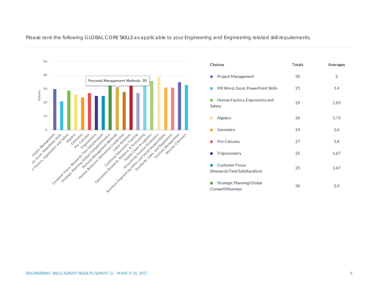

Choices Totals Averages  $\overline{2}$ ۰ Project Management 30 • MS Word, Excel, PowerPoint Skills 21 1.4 Human Factors, Ergonomics and 29 1.93 Safety Algebra 26 1.73 ۰ 1.6 Geometry 24 Pre-Calculus 27 1.8 Trigonometry 25 1.67 0 Customer Focus ۰ 25 1.67 (Research/Test/Satisfacation) Strategic Planning/Global 36  $2.4$ Competititiveness

Please rank the following GLOBAL CORE SKILLS as applicable to your Engineering and Engineering related skill requirements.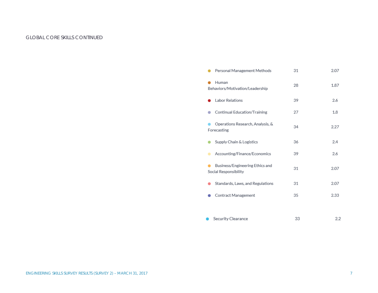#### GLOBAL CORE SKILLS CONTINUED

| Personal Management Methods                              | 31 | 2.07 |
|----------------------------------------------------------|----|------|
| Human<br>Behaviors/Motivation/Leadership                 | 28 | 1.87 |
| <b>Labor Relations</b>                                   | 39 | 2.6  |
| Continual Education/Training                             | 27 | 1.8  |
| Operations Research, Analysis, &<br>Forecasting          | 34 | 2.27 |
| Supply Chain & Logistics                                 | 36 | 2.4  |
| Accounting/Finance/Economics                             | 39 | 2.6  |
| Business/Engineering Ethics and<br>Social Responsibility | 31 | 2.07 |
| Standards, Laws, and Regulations                         | 31 | 2.07 |
| Contract Management                                      | 35 | 2.33 |
|                                                          |    |      |
| Security Clearance                                       | 33 | 2.2  |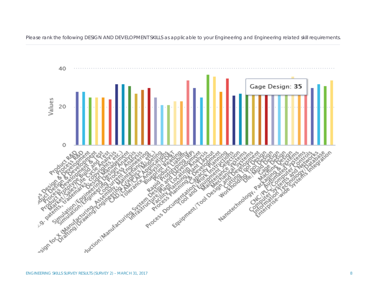40 Gage Design: 35 Values 20  $\bullet$ 'S Richardson Counter 1700 Allen Nor 2016 Nanovechnology **PROFESSION** Auction Manufacturing sign to by

Please rank the following DESIGN AND DEVELOPMENT SKILLS as applicable to your Engineering and Engineering related skill requirements.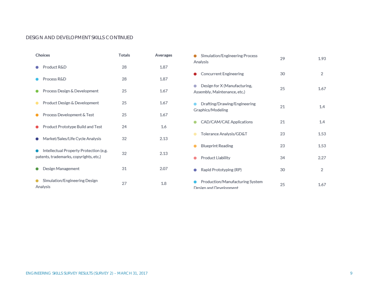#### DESIGN AND DEVELOPMENT SKILLS CONTINUED

| <b>Choices</b>                                                                   | <b>Totals</b> | Averages |
|----------------------------------------------------------------------------------|---------------|----------|
| Product R&D                                                                      | 28            | 1.87     |
| Process R&D                                                                      | 28            | 1.87     |
| Process Design & Development                                                     | 25            | 1.67     |
| Product Design & Development                                                     | 25            | 1.67     |
| Process Development & Test                                                       | 25            | 1.67     |
| Product Prototype Build and Test                                                 | 24            | 1.6      |
| Market/Sales/Life Cycle Analysis                                                 | 32            | 2.13     |
| Intellectual Property Protection (e.g.<br>patents, trademarks, copyrights, etc.) | 32            | 2.13     |
| Design Management                                                                | 31            | 2.07     |
| Simulation/Engineering Design<br>Analysis                                        | 27            | 1.8      |

| Simulation/Engineering Process<br>Analysis                   | 29 | 1.93 |
|--------------------------------------------------------------|----|------|
| Concurrent Engineering                                       | 30 | 2    |
| Design for X (Manufacturing,<br>Assembly, Maintenance, etc.) | 25 | 1.67 |
| Drafting/Drawing/Engineering<br>Graphics/Modeling            | 21 | 1.4  |
| CAD/CAM/CAE Applications                                     | 21 | 1.4  |
| Tolerance Analysis/GD&T                                      | 23 | 1.53 |
| <b>Blueprint Reading</b>                                     | 23 | 1.53 |
| Product Liability                                            | 34 | 2.27 |
| Rapid Prototyping (RP)                                       | 30 | 2    |
| Production/Manufacturing System<br>Design and Development    | 25 | 1.67 |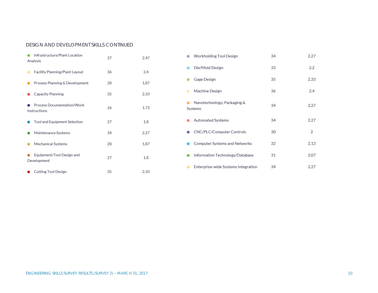#### DESIGN AND DEVELOPMENT SKILLS CONTINUED

| Infrastructure/Plant Location<br>Analysis  | 37 | 2.47 |
|--------------------------------------------|----|------|
| Facility Planning/Plant Layout             | 36 | 2.4  |
| Process Planning & Development             | 28 | 1.87 |
| Capacity Planning                          | 35 | 2.33 |
| Process Documentation/Work<br>Instructions | 26 | 1.73 |
| Tool and Equipment Selection               | 27 | 1.8  |
| Maintenance Systems                        | 34 | 2.27 |
| Mechanical Systems                         | 28 | 1.87 |
| Equipment/Tool Design and<br>Development   | 27 | 1.8  |
| <b>Cutting Tool Design</b>                 | 35 | 2.33 |

| Workholding Tool Design                | 34 | 2.27             |
|----------------------------------------|----|------------------|
| Die/Mold Design                        | 33 | $2.2\phantom{0}$ |
| Gage Design                            | 35 | 2.33             |
| Machine Design                         | 36 | 2.4              |
| Nanotechnology, Packaging &<br>Systems | 34 | 2.27             |
| Automated Systems                      | 34 | 2.27             |
| CNC/PLC/Computer Controls              | 30 | 2                |
| Computer Systems and Networks          | 32 | 2.13             |
| Information Technology/Database        | 31 | 2.07             |
| Enterprise-wide Systems Integration    | 34 | 2.27             |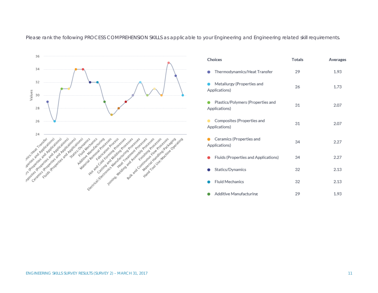Please rank the following PROCESS COMPREHENSION SKILLS as applicable to your Engineering and Engineering related skill requirements.



| <b>Choices</b>                                     | <b>Totals</b> | Averages |
|----------------------------------------------------|---------------|----------|
| Thermodynamics/Heat Transfer                       | 29            | 1.93     |
| Metallurgy (Properties and<br>Applications)        | 26            | 1.73     |
| Plastics/Polymers (Properties and<br>Applications) | 31            | 2.07     |
| Composites (Properties and<br>Applications)        | 31            | 2.07     |
| Ceramics (Properties and<br>Applications)          | 34            | 2.27     |
| Fluids (Properties and Applications)               | 34            | 2.27     |
| Statics/Dynamics                                   | 32            | 2.13     |
| <b>Fluid Mechanics</b>                             | 32            | 2.13     |
| Additive Manufacturing                             | 29            | 1.93     |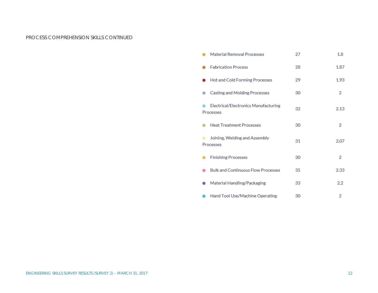#### PROCESS COMPREHENSION SKILLS CONTINUED

| Material Removal Processes                        | 27 | 1.8  |
|---------------------------------------------------|----|------|
| <b>Fabrication Process</b>                        | 28 | 1.87 |
| Hot and Cold Forming Processes                    | 29 | 1.93 |
| Casting and Molding Processes                     | 30 | 2    |
| Electrical/Electronics Manufacturing<br>Processes | 32 | 2.13 |
| <b>Heat Treatment Processes</b>                   | 30 | 2    |
| Joining, Welding and Assembly<br>Processes        | 31 | 2.07 |
| <b>Finishing Processes</b>                        | 30 | 2    |
| <b>Bulk and Continuous Flow Processes</b>         | 35 | 2.33 |
| Material Handling/Packaging                       | 33 | 2.2  |
| Hand Tool Use/Machine Operating                   | 30 | 2    |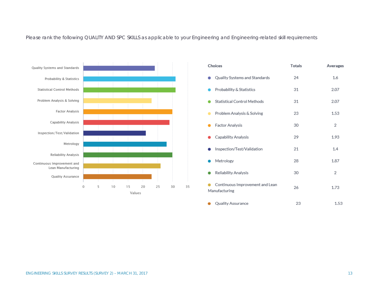Please rank the following QUALITY AND SPC SKILLS as applicable to your Engineering and Engineering-related skill requirements



| Choices                                          | <b>Totals</b> | Averages |
|--------------------------------------------------|---------------|----------|
| Quality Systems and Standards                    | 24            | 1.6      |
| Probability & Statistics                         | 31            | 2.07     |
| <b>Statistical Control Methods</b>               | 31            | 2.07     |
| Problem Analysis & Solving                       | 23            | 1.53     |
| Factor Analysis                                  | 30            | 2        |
| Capability Analysis                              | 29            | 1.93     |
| Inspection/Test/Validation                       | 21            | 1.4      |
| Metrology                                        | 28            | 1.87     |
| <b>Reliability Analysis</b>                      | 30            | 2        |
| Continuous Improvement and Lean<br>Manufacturing | 26            | 1.73     |
| Quality Assurance                                | 23            | 1.53     |